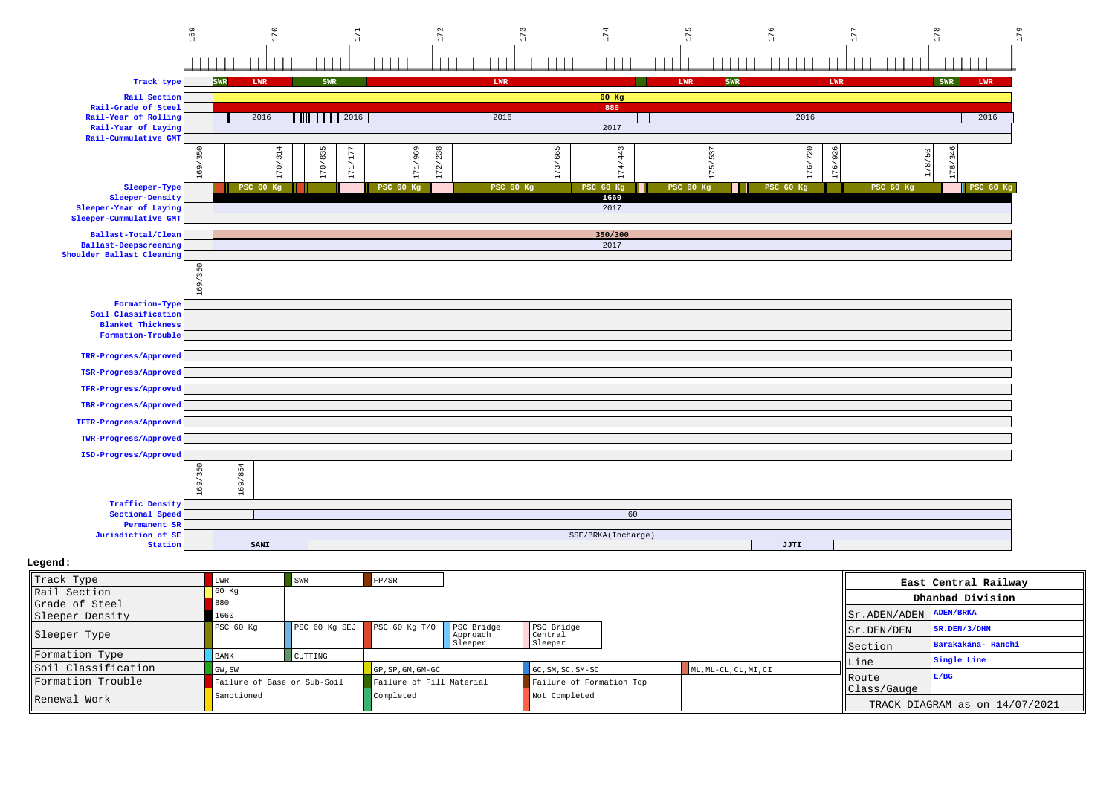

| Track Type          | LWR                         | <b>SWR</b>    | FP/SR                      |          |                          |  |                       |                                   | East Central Railway                          |  |
|---------------------|-----------------------------|---------------|----------------------------|----------|--------------------------|--|-----------------------|-----------------------------------|-----------------------------------------------|--|
| Rail Section        | 60 Kq                       |               |                            |          |                          |  |                       |                                   |                                               |  |
| Grade of Steel      | 880                         |               |                            |          |                          |  |                       |                                   | Dhanbad Division                              |  |
| Sleeper Density     | 660                         |               |                            |          |                          |  |                       | $  $ Sr. ADEN/ADEN $  $ ADEN/BRKA |                                               |  |
| Sleeper Type        | PSC 60 Kq                   | PSC 60 Kg SEJ | PSC 60 Kg T/O   PSC Bridge | Approach | PSC Bridge<br>Central    |  |                       | Sr.DEN/DEN                        | $SR$ . DEN / 3 / DHN                          |  |
|                     |                             |               |                            | Sleeper  | Sleeper                  |  |                       | <b>I</b> Section                  | Barakakana- Ranchi                            |  |
| Formation Type      | <b>BANK</b>                 | CUTTING       |                            |          |                          |  |                       |                                   | Single Line                                   |  |
| Soil Classification | GW, SW                      |               | GP, SP, GM, GM-GC          |          | GC, SM, SC, SM-SC        |  | ML, ML-CL, CL, MI, CI | Line                              | E/BG                                          |  |
| Formation Trouble   | Failure of Base or Sub-Soil |               | Failure of Fill Material   |          | Failure of Formation Top |  |                       | <b>IRoute</b>                     |                                               |  |
| Renewal Work        | Sanctioned                  |               | Completed                  |          | Not Completed            |  |                       |                                   | Class/Gauge<br>TRACK DIAGRAM as on 14/07/2021 |  |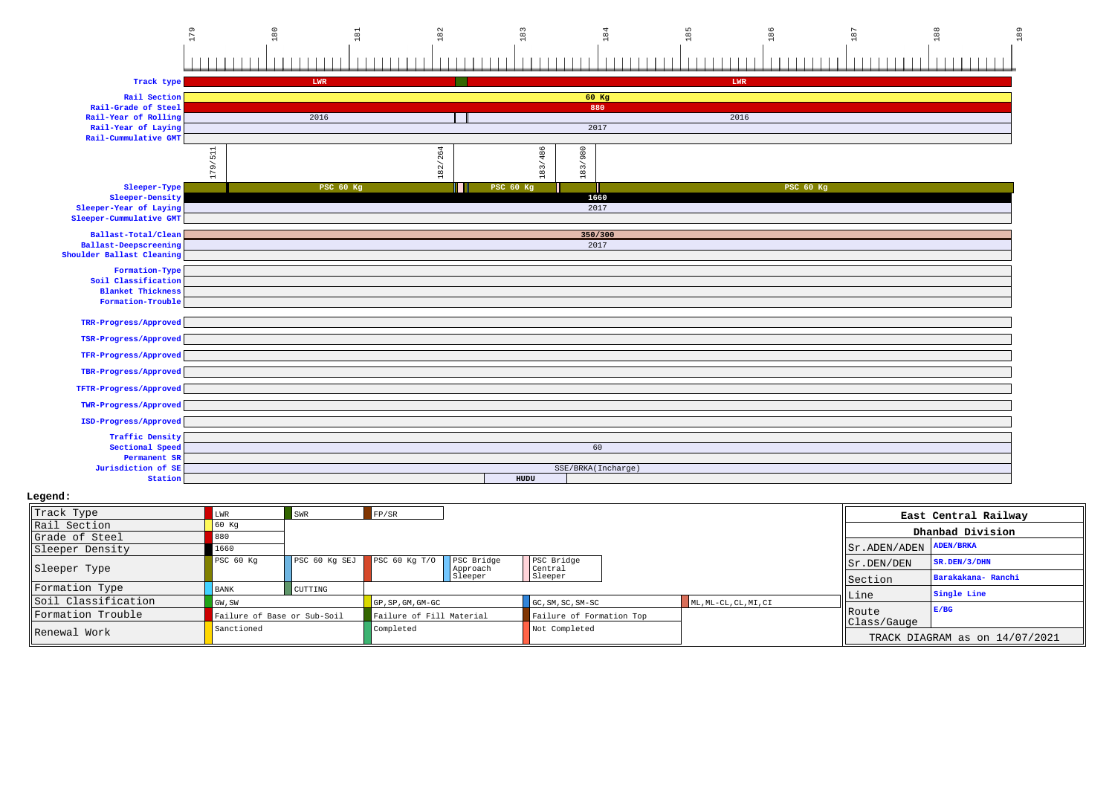

## **Legend:**

| Track Type          |                             | <b>SWR</b>               | FP/SR           |                        |                          |  |      |                                  | East Central Railway           |
|---------------------|-----------------------------|--------------------------|-----------------|------------------------|--------------------------|--|------|----------------------------------|--------------------------------|
| Rail Section        | 60 Kq                       |                          |                 |                        |                          |  |      |                                  |                                |
| Grade of Steel      |                             |                          |                 |                        |                          |  |      |                                  | Dhanbad Division               |
| Sleeper Density     | 1660                        |                          |                 |                        |                          |  |      | $ Sr $ . ADEN/ADEN $ A$ DEN/BRKA |                                |
| Sleeper Type        | PSC 60 Kq                   | PSC 60 Kg SEJ            | PSC $60$ Kq T/O | PSC Bridge<br>Approach | PSC Bridge<br>Central    |  |      | Sr.DEN/DEN                       | SR.DEN/3/DHN                   |
|                     |                             |                          |                 | Sleeper                | Sleeper                  |  |      | Section                          | Barakakana- Ranchi             |
| Formation Type      | <b>BANK</b>                 | <b>CUTTING</b>           |                 |                        |                          |  |      |                                  | Single Line                    |
| Soil Classification | GW, SW                      | GP, SP, GM, GM-GC        |                 | GC, SM, SC, SM-SC      | ML, ML-CL, CL, MI, CI    |  | Line |                                  |                                |
| Formation Trouble   | Failure of Base or Sub-Soil | Failure of Fill Material |                 |                        | Failure of Formation Top |  |      | l Route                          | E/BG                           |
| Renewal Work        | Sanctioned                  |                          | Completed       |                        | Not Completed            |  |      | Class/Gauge                      | TRACK DIAGRAM as on 14/07/2021 |